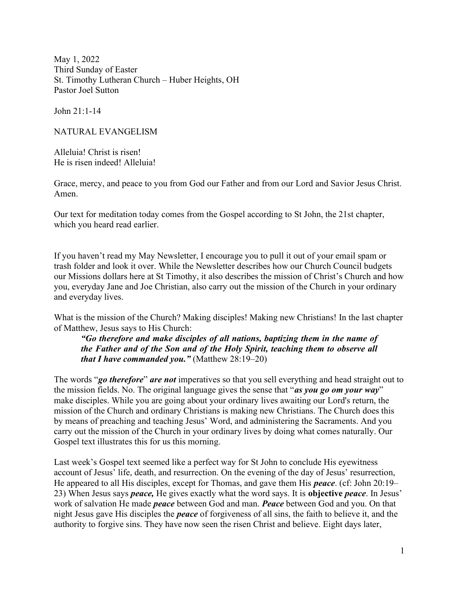May 1, 2022 Third Sunday of Easter St. Timothy Lutheran Church – Huber Heights, OH Pastor Joel Sutton

John 21:1-14

NATURAL EVANGELISM

Alleluia! Christ is risen! He is risen indeed! Alleluia!

Grace, mercy, and peace to you from God our Father and from our Lord and Savior Jesus Christ. Amen.

Our text for meditation today comes from the Gospel according to St John, the 21st chapter, which you heard read earlier.

If you haven't read my May Newsletter, I encourage you to pull it out of your email spam or trash folder and look it over. While the Newsletter describes how our Church Council budgets our Missions dollars here at St Timothy, it also describes the mission of Christ's Church and how you, everyday Jane and Joe Christian, also carry out the mission of the Church in your ordinary and everyday lives.

What is the mission of the Church? Making disciples! Making new Christians! In the last chapter of Matthew, Jesus says to His Church:

"Go therefore and make disciples of all nations, baptizing them in the name of the Father and of the Son and of the Holy Spirit, teaching them to observe all that I have commanded you." (Matthew  $28:19-20$ )

The words "go therefore" are not imperatives so that you sell everything and head straight out to the mission fields. No. The original language gives the sense that "as you go om your way" make disciples. While you are going about your ordinary lives awaiting our Lord's return, the mission of the Church and ordinary Christians is making new Christians. The Church does this by means of preaching and teaching Jesus' Word, and administering the Sacraments. And you carry out the mission of the Church in your ordinary lives by doing what comes naturally. Our Gospel text illustrates this for us this morning.

Last week's Gospel text seemed like a perfect way for St John to conclude His eyewitness account of Jesus' life, death, and resurrection. On the evening of the day of Jesus' resurrection, He appeared to all His disciples, except for Thomas, and gave them His **peace**. (cf: John 20:19– 23) When Jesus says *peace*, He gives exactly what the word says. It is **objective** *peace*. In Jesus' work of salvation He made *peace* between God and man. *Peace* between God and you. On that night Jesus gave His disciples the peace of forgiveness of all sins, the faith to believe it, and the authority to forgive sins. They have now seen the risen Christ and believe. Eight days later,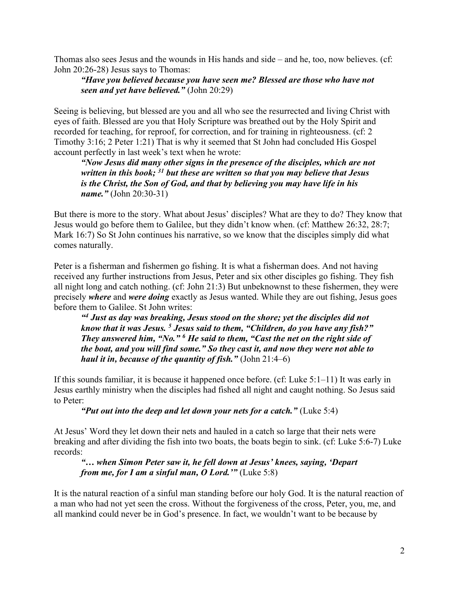Thomas also sees Jesus and the wounds in His hands and side – and he, too, now believes. (cf: John 20:26-28) Jesus says to Thomas:

## "Have you believed because you have seen me? Blessed are those who have not seen and yet have believed." (John 20:29)

Seeing is believing, but blessed are you and all who see the resurrected and living Christ with eyes of faith. Blessed are you that Holy Scripture was breathed out by the Holy Spirit and recorded for teaching, for reproof, for correction, and for training in righteousness. (cf: 2 Timothy 3:16; 2 Peter 1:21) That is why it seemed that St John had concluded His Gospel account perfectly in last week's text when he wrote:

"Now Jesus did many other signs in the presence of the disciples, which are not written in this book;  $31$  but these are written so that you may believe that Jesus is the Christ, the Son of God, and that by believing you may have life in his name." (John 20:30-31)

But there is more to the story. What about Jesus' disciples? What are they to do? They know that Jesus would go before them to Galilee, but they didn't know when. (cf: Matthew 26:32, 28:7; Mark 16:7) So St John continues his narrative, so we know that the disciples simply did what comes naturally.

Peter is a fisherman and fishermen go fishing. It is what a fisherman does. And not having received any further instructions from Jesus, Peter and six other disciples go fishing. They fish all night long and catch nothing. (cf: John 21:3) But unbeknownst to these fishermen, they were precisely where and were doing exactly as Jesus wanted. While they are out fishing, Jesus goes before them to Galilee. St John writes:

<sup>44</sup> Just as day was breaking, Jesus stood on the shore; yet the disciples did not know that it was Jesus. <sup>5</sup> Jesus said to them, "Children, do you have any fish?" They answered him, "No."  $6$  He said to them, "Cast the net on the right side of the boat, and you will find some." So they cast it, and now they were not able to haul it in, because of the quantity of fish." (John  $21:4-6$ )

If this sounds familiar, it is because it happened once before. (cf: Luke 5:1–11) It was early in Jesus earthly ministry when the disciples had fished all night and caught nothing. So Jesus said to Peter:

"Put out into the deep and let down your nets for a catch." (Luke  $5:4$ )

At Jesus' Word they let down their nets and hauled in a catch so large that their nets were breaking and after dividing the fish into two boats, the boats begin to sink. (cf: Luke 5:6-7) Luke records:

"… when Simon Peter saw it, he fell down at Jesus' knees, saying, 'Depart from me, for I am a sinful man, O Lord.'" (Luke 5:8)

It is the natural reaction of a sinful man standing before our holy God. It is the natural reaction of a man who had not yet seen the cross. Without the forgiveness of the cross, Peter, you, me, and all mankind could never be in God's presence. In fact, we wouldn't want to be because by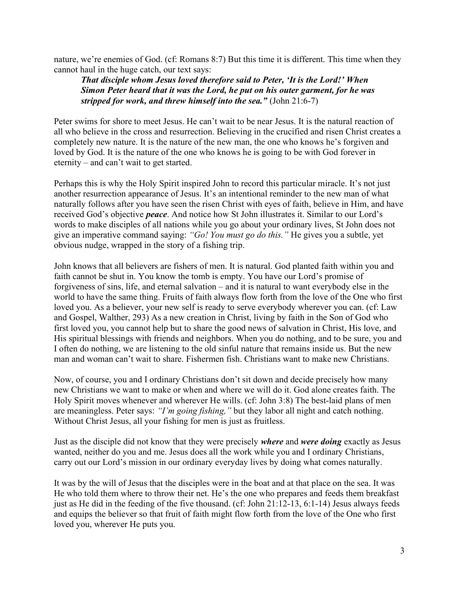nature, we're enemies of God. (cf: Romans 8:7) But this time it is different. This time when they cannot haul in the huge catch, our text says:

That disciple whom Jesus loved therefore said to Peter, 'It is the Lord!' When Simon Peter heard that it was the Lord, he put on his outer garment, for he was stripped for work, and threw himself into the sea." (John  $21:6-7$ )

Peter swims for shore to meet Jesus. He can't wait to be near Jesus. It is the natural reaction of all who believe in the cross and resurrection. Believing in the crucified and risen Christ creates a completely new nature. It is the nature of the new man, the one who knows he's forgiven and loved by God. It is the nature of the one who knows he is going to be with God forever in eternity – and can't wait to get started.

Perhaps this is why the Holy Spirit inspired John to record this particular miracle. It's not just another resurrection appearance of Jesus. It's an intentional reminder to the new man of what naturally follows after you have seen the risen Christ with eyes of faith, believe in Him, and have received God's objective peace. And notice how St John illustrates it. Similar to our Lord's words to make disciples of all nations while you go about your ordinary lives, St John does not give an imperative command saying: "Go! You must go do this." He gives you a subtle, yet obvious nudge, wrapped in the story of a fishing trip.

John knows that all believers are fishers of men. It is natural. God planted faith within you and faith cannot be shut in. You know the tomb is empty. You have our Lord's promise of forgiveness of sins, life, and eternal salvation – and it is natural to want everybody else in the world to have the same thing. Fruits of faith always flow forth from the love of the One who first loved you. As a believer, your new self is ready to serve everybody wherever you can. (cf: Law and Gospel, Walther, 293) As a new creation in Christ, living by faith in the Son of God who first loved you, you cannot help but to share the good news of salvation in Christ, His love, and His spiritual blessings with friends and neighbors. When you do nothing, and to be sure, you and I often do nothing, we are listening to the old sinful nature that remains inside us. But the new man and woman can't wait to share. Fishermen fish. Christians want to make new Christians.

Now, of course, you and I ordinary Christians don't sit down and decide precisely how many new Christians we want to make or when and where we will do it. God alone creates faith. The Holy Spirit moves whenever and wherever He wills. (cf: John 3:8) The best-laid plans of men are meaningless. Peter says: "I'm going fishing," but they labor all night and catch nothing. Without Christ Jesus, all your fishing for men is just as fruitless.

Just as the disciple did not know that they were precisely *where* and were *doing* exactly as Jesus wanted, neither do you and me. Jesus does all the work while you and I ordinary Christians, carry out our Lord's mission in our ordinary everyday lives by doing what comes naturally.

It was by the will of Jesus that the disciples were in the boat and at that place on the sea. It was He who told them where to throw their net. He's the one who prepares and feeds them breakfast just as He did in the feeding of the five thousand. (cf: John 21:12-13, 6:1-14) Jesus always feeds and equips the believer so that fruit of faith might flow forth from the love of the One who first loved you, wherever He puts you.